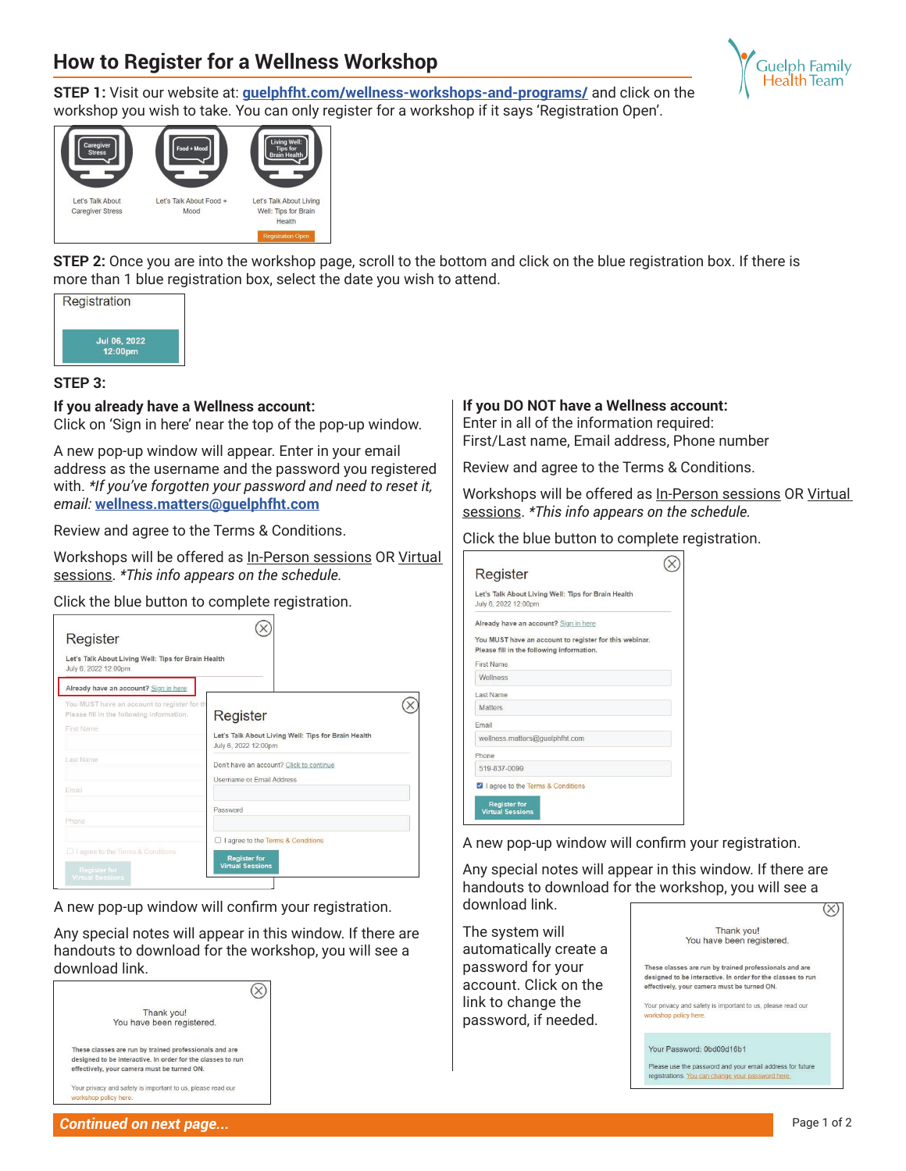## **How to Register for a Wellness Workshop**



**STEP 1:** Visit our website at: **guelphfht.com/wellness-workshops-and-programs/** and click on the workshop you wish to take. You can only register for a workshop if it says 'Registration Open'.



**STEP 2:** Once you are into the workshop page, scroll to the bottom and click on the blue registration box. If there is more than 1 blue registration box, select the date you wish to attend.



## **STEP 3:**

**If you already have a Wellness account:**

Click on 'Sign in here' near the top of the pop-up window.

A new pop-up window will appear. Enter in your email address as the username and the password you registered with. *\*If you've forgotten your password and need to reset it, email:* **wellness.matters@guelphfht.com**

Review and agree to the Terms & Conditions.

Workshops will be offered as In-Person sessions OR Virtual sessions. *\*This info appears on the schedule.*

Click the blue button to complete registration.

| Let's Talk About Living Well: Tips for Brain Health<br>July 6, 2022 12:00pm              |                                                                             |  |
|------------------------------------------------------------------------------------------|-----------------------------------------------------------------------------|--|
| Already have an account? Sign in here                                                    |                                                                             |  |
| You MUST have an account to register for th<br>Please fill in the following information. | Register                                                                    |  |
| <b>First Name</b>                                                                        | Let's Talk About Living Well: Tips for Brain Health<br>July 6, 2022 12:00pm |  |
| Last Name                                                                                | Don't have an account? Click to continue<br>Usemame or Email Address        |  |
| Fmail                                                                                    |                                                                             |  |
|                                                                                          | Password                                                                    |  |
| Phone                                                                                    |                                                                             |  |

A new pop-up window will confirm your registration.

Any special notes will appear in this window. If there are handouts to download for the workshop, you will see a download link.



## **If you DO NOT have a Wellness account:**

Enter in all of the information required: First/Last name, Email address, Phone number

Review and agree to the Terms & Conditions.

Workshops will be offered as In-Person sessions OR Virtual sessions. *\*This info appears on the schedule.*

Click the blue button to complete registration.

| Register                                                                                            |  |
|-----------------------------------------------------------------------------------------------------|--|
| Let's Talk About Living Well: Tips for Brain Health<br>July 6, 2022 12:00pm                         |  |
| Already have an account? Sign in here                                                               |  |
| You MUST have an account to register for this webinar.<br>Please fill in the following information. |  |
| <b>First Name</b>                                                                                   |  |
| Wellness                                                                                            |  |
| Last Name                                                                                           |  |
| <b>Matters</b>                                                                                      |  |
| Email                                                                                               |  |
| wellness.matters@quelphfht.com                                                                      |  |
| Phone                                                                                               |  |
| 519-837-0099                                                                                        |  |
| 4   agree to the Terms & Conditions                                                                 |  |
| <b>Register for</b><br><b>Virtual Sessions</b>                                                      |  |

A new pop-up window will confirm your registration.

Any special notes will appear in this window. If there are handouts to download for the workshop, you will see a download link.

The system will automatically create a password for your account. Click on the link to change the password, if needed.